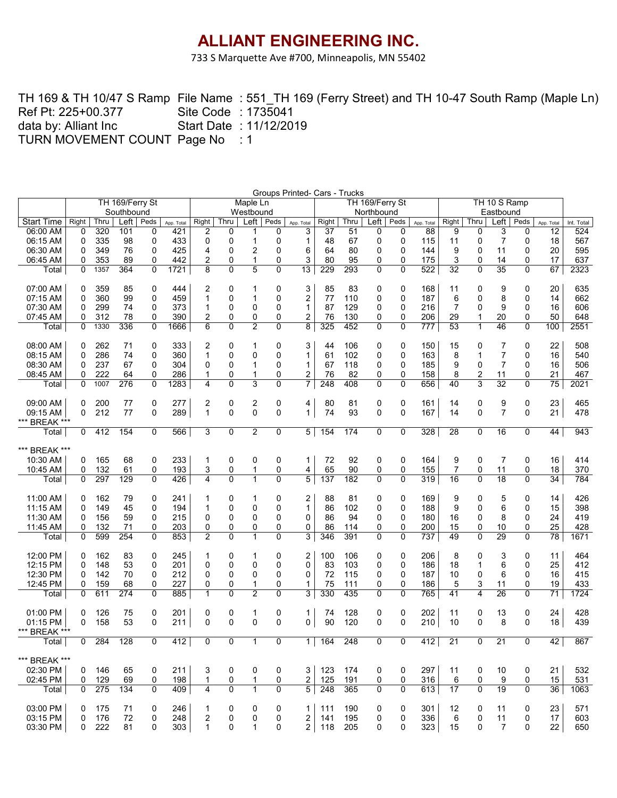733 S Marquette Ave #700, Minneapolis, MN 55402

TH 169 & TH 10/47 S Ramp File Name:551\_TH 169 (Ferry Street) and TH 10-47 South Ramp (Maple Ln) Site Code : 1735041 Start Date : 11/12/2019 TURN MOVEMENT COUNT Page No : 1 Ref Pt: 225+00.377 data by: Alliant Inc

| Groups Printed- Cars - Trucks<br>TH 169/Ferry St<br>TH 10 S Ramp<br>Maple Ln<br>TH 169/Ferry St |              |            |            |                |            |                |        |                   |             |                 |          |          |                   |                |            |                 |                         |                 |                |                 |            |
|-------------------------------------------------------------------------------------------------|--------------|------------|------------|----------------|------------|----------------|--------|-------------------|-------------|-----------------|----------|----------|-------------------|----------------|------------|-----------------|-------------------------|-----------------|----------------|-----------------|------------|
|                                                                                                 |              |            |            |                |            |                |        |                   |             |                 |          |          |                   |                |            |                 |                         |                 |                |                 |            |
|                                                                                                 |              |            | Southbound |                |            |                |        | Westbound         |             |                 |          |          | Northbound        |                |            |                 |                         |                 |                |                 |            |
| <b>Start Time</b>                                                                               | Right        | Thru       | Left       | Peds           | App. Total | Right          | Thru   | $Left \mid$       | Peds        | App. Total      | Right    | Thru     | $Left \mid$       | Peds           | App. Total | Right           | Thru                    | Left            | Peds           | App. Total      | Int. Total |
| 06:00 AM                                                                                        | 0            | 320        | 101        | 0              | 421        | 2              | 0      |                   | 0           | 3               | 37       | 51       | 0                 | 0              | 88         | 9               | 0                       | 3               | 0              | 12              | 524        |
| 06:15 AM                                                                                        | 0            | 335        | 98         | 0<br>0         | 433        | 0<br>4         | 0<br>0 | 1                 | 0<br>0      | 1               | 48<br>64 | 67       | 0<br>$\mathbf{0}$ | $\mathbf 0$    | 115        | 11              | 0                       | $\overline{7}$  | 0              | 18              | 567        |
| 06:30 AM                                                                                        | 0            | 349<br>353 | 76<br>89   | 0              | 425<br>442 | 2              | 0      | 2<br>$\mathbf{1}$ | 0           | 6<br>3          | 80       | 80<br>95 | 0                 | 0<br>0         | 144<br>175 | 9<br>3          | 0<br>0                  | 11<br>14        | 0<br>0         | 20<br>17        | 595<br>637 |
| 06:45 AM<br>Total                                                                               | 0<br>0       | 1357       | 364        | 0              | 1721       | 8              | 0      | $\overline{5}$    | 0           | $\overline{13}$ | 229      | 293      | $\Omega$          | $\Omega$       | 522        | $\overline{32}$ | $\overline{0}$          | $\overline{35}$ | $\Omega$       | 67              | 2323       |
|                                                                                                 |              |            |            |                |            |                |        |                   |             |                 |          |          |                   |                |            |                 |                         |                 |                |                 |            |
| 07:00 AM                                                                                        | 0            | 359        | 85         | 0              | 444        | 2              | 0      | 1                 | 0           | 3               | 85       | 83       | 0                 | 0              | 168        | 11              | 0                       | 9               | 0              | 20              | 635        |
| 07:15 AM                                                                                        | 0            | 360        | 99         | 0              | 459        | 1              | 0      | 1                 | 0           | 2               | 77       | 110      | 0                 | 0              | 187        | 6               | 0                       | 8               | 0              | 14              | 662        |
| 07:30 AM                                                                                        | 0            | 299        | 74         | 0              | 373        | 1              | 0      | 0                 | 0           | 1               | 87       | 129      | 0                 | $\Omega$       | 216        | $\overline{7}$  | $\mathbf{0}$            | 9               | $\Omega$       | 16              | 606        |
| 07:45 AM                                                                                        | 0            | 312        | 78         | 0              | 390        | 2              | 0      | 0                 | 0           | 2               | 76       | 130      | 0                 | 0              | 206        | 29              | $\mathbf 1$             | 20              | 0              | 50              | 648        |
| Total                                                                                           | 0            | 1330       | 336        | 0              | 1666       | 6              | 0      | $\overline{2}$    | 0           | 8               | 325      | 452      | $\Omega$          | 0              | 777        | 53              | $\mathbf{1}$            | 46              | 0              | 100             | 2551       |
|                                                                                                 |              |            |            |                |            |                |        |                   |             |                 |          |          |                   |                |            |                 |                         |                 |                |                 |            |
| 08:00 AM                                                                                        | 0            | 262        | 71         | 0              | 333        | 2              | 0      | 1                 | 0           | 3               | 44       | 106      | 0                 | 0              | 150        | 15              | 0                       | 7               | 0              | 22              | 508        |
| 08:15 AM                                                                                        | $\Omega$     | 286        | 74         | 0              | 360        | $\mathbf{1}$   | 0      | 0                 | 0           | 1               | 61       | 102      | $\mathbf 0$       | 0              | 163        | 8               | $\mathbf{1}$            | $\overline{7}$  | 0              | 16              | 540        |
| 08:30 AM                                                                                        | 0            | 237        | 67         | 0              | 304        | 0              | 0      | 1                 | 0           | 1               | 67       | 118      | 0                 | 0              | 185        | 9               | 0                       | $\overline{7}$  | 0              | 16              | 506        |
| 08:45 AM                                                                                        | 0            | 222        | 64         | 0              | 286        | 1              | 0      | 1                 | 0           | 2               | 76       | 82       | 0                 | 0              | 158        | 8               | $\overline{2}$          | 11              | 0              | 21              | 467        |
| Total                                                                                           | 0            | 1007       | 276        | 0              | 1283       | 4              | 0      | 3                 | 0           | 7               | 248      | 408      | 0                 | 0              | 656        | 40              | $\overline{3}$          | $\overline{32}$ | 0              | $\overline{75}$ | 2021       |
| 09:00 AM                                                                                        | 0            | 200        | 77         | 0              | 277        | 2              | 0      | 2                 | 0           | 4               | 80       | 81       | 0                 | 0              | 161        | 14              | 0                       | 9               | 0              | 23              | 465        |
| 09:15 AM                                                                                        | $\Omega$     | 212        | 77         | 0              | 289        | $\mathbf 1$    | 0      | $\Omega$          | 0           | $\mathbf{1}$    | 74       | 93       | 0                 | 0              | 167        | 14              | 0                       | $\overline{7}$  | 0              | 21              | 478        |
| *** BREAK ***                                                                                   |              |            |            |                |            |                |        |                   |             |                 |          |          |                   |                |            |                 |                         |                 |                |                 |            |
| Total                                                                                           | 0            | 412        | 154        | 0              | 566        | 3              | 0      | $\overline{2}$    | 0           | 5               | 154      | 174      | 0                 | 0              | 328        | 28              | 0                       | 16              | 0              | 44              | 943        |
| *** BREAK ***                                                                                   |              |            |            |                |            |                |        |                   |             |                 |          |          |                   |                |            |                 |                         |                 |                |                 |            |
| 10:30 AM                                                                                        | 0            | 165        | 68         | 0              | 233        | 1              | 0      | 0                 | 0           | 1               | 72       | 92       | 0                 | 0              | 164        | 9               | 0                       | 7               | 0              | 16              | 414        |
| 10:45 AM                                                                                        | 0            | 132        | 61         | 0              | 193        | 3              | 0      | 1                 | 0           | 4               | 65       | 90       | 0                 | 0              | 155        | 7               | 0                       | 11              | 0              | 18              | 370        |
| Total                                                                                           | 0            | 297        | 129        | 0              | 426        | 4              | 0      | $\mathbf{1}$      | 0           | 5               | 137      | 182      | $\Omega$          | $\overline{0}$ | 319        | 16              | $\overline{0}$          | $\overline{18}$ | 0              | 34              | 784        |
|                                                                                                 |              |            |            |                |            |                |        |                   |             |                 |          |          |                   |                |            |                 |                         |                 |                |                 |            |
| 11:00 AM                                                                                        | 0            | 162        | 79         | 0              | 241        |                | 0      | 1                 | 0           | 2               | 88       | 81       | 0                 | 0              | 169        | 9               | 0                       | 5               | 0              | 14              | 426        |
| 11:15 AM                                                                                        | 0            | 149        | 45         | 0              | 194        | $\mathbf 1$    | 0      | 0                 | 0           | $\mathbf{1}$    | 86       | 102      | 0                 | 0              | 188        | 9               | 0                       | 6               | 0              | 15              | 398        |
| 11:30 AM                                                                                        | 0            | 156        | 59         | 0              | 215        | 0              | 0      | 0                 | 0           | 0               | 86       | 94       | 0                 | 0              | 180        | 16              | 0                       | 8               | $\Omega$       | 24              | 419        |
| 11:45 AM                                                                                        | 0            | 132        | 71         | 0              | 203        | 0              | 0      | 0                 | 0           | 0               | 86       | 114      | 0                 | 0              | 200        | 15              | 0                       | 10              | 0              | 25              | 428        |
| Total                                                                                           | 0            | 599        | 254        | 0              | 853        | $\overline{2}$ | 0      | 1                 | 0           | 3               | 346      | 391      | $\Omega$          | 0              | 737        | 49              | $\Omega$                | 29              | 0              | 78              | 1671       |
| 12:00 PM                                                                                        | 0            | 162        | 83         | 0              | 245        | 1              | 0      | 1                 | 0           | 2               | 100      | 106      | 0                 | 0              | 206        | 8               | 0                       | 3               | 0              | 11              | 464        |
| 12:15 PM                                                                                        | 0            | 148        | 53         | 0              | 201        | $\Omega$       | 0      | 0                 | 0           | 0               | 83       | 103      | 0                 | 0              | 186        | 18              | $\mathbf 1$             | 6               | 0              | 25              | 412        |
| 12:30 PM                                                                                        | 0            | 142        | 70         | 0              | 212        | 0              | 0      | 0                 | 0           | 0               | 72       | 115      | 0                 | 0              | 187        | 10              | 0                       | 6               | $\mathbf 0$    | 16              | 415        |
| 12:45 PM                                                                                        | 0            | 159        | 68         | 0              | 227        | 0              | 0      | 1                 | 0           | 1               | 75       | 111      | 0                 | 0              | 186        | 5               | 3                       | 11              | 0              | 19              | 433        |
| Total                                                                                           | 0            | 611        | 274        | 0              | 885        | $\mathbf{1}$   | 0      | $\overline{2}$    | 0           | 3               | 330      | 435      | $\Omega$          | 0              | 765        | 41              | $\overline{\mathbf{4}}$ | 26              | 0              | 71              | 1724       |
| 01:00 PM                                                                                        | 0            | 126        | 75         | 0              | 201        | 0              | 0      | 1                 | 0           | 1               | 74       | 128      | 0                 | 0              | 202        | 11              | 0                       | 13              | 0              | 24              | 428        |
| 01:15 PM                                                                                        | 0            | 158        | 53         | 0              | 211        | 0              | 0      | $\Omega$          | 0           | 0               | 90       | 120      | $\Omega$          | 0              | 210        | 10              | 0                       | 8               | 0              | 18              | 439        |
| *** BREAK ***                                                                                   |              |            |            |                |            |                |        |                   |             |                 |          |          |                   |                |            |                 |                         |                 |                |                 |            |
| Total                                                                                           | $\mathbf{0}$ | 284        | 128        | $\overline{0}$ | 412        | $\mathbf 0$    | 0      | $\mathbf{1}$      | $\mathbf 0$ | $\overline{1}$  | 164      | 248      | $\overline{0}$    | $\overline{0}$ | 412        | $\overline{21}$ | $\overline{0}$          | $\overline{21}$ | $\overline{0}$ | 42              | 867        |
| *** BREAK ***                                                                                   |              |            |            |                |            |                |        |                   |             |                 |          |          |                   |                |            |                 |                         |                 |                |                 |            |
| 02:30 PM                                                                                        | $\mathbf{0}$ | 146        | 65         | 0              | 211        | 3              | 0      | 0                 | 0           | 3               | 123      | 174      | 0                 | 0              | 297        | 11              | 0                       | 10              | 0              | 21              | 532        |
| 02:45 PM                                                                                        | 0            | 129        | 69         | 0              | 198        | 1              | 0      | 1                 | 0           | 2               | 125      | 191      | 0                 | 0              | 316        | 6               | 0                       | 9               | 0              | 15              | 531        |
| Total                                                                                           | 0            | 275        | 134        | 0              | 409        | 4              | 0      | $\mathbf{1}$      | 0           | 5               | 248      | 365      | 0                 | 0              | 613        | 17              | $\Omega$                | $\overline{19}$ | $\Omega$       | 36              | 1063       |
|                                                                                                 |              |            |            |                |            |                |        |                   |             |                 |          |          |                   |                |            |                 |                         |                 |                |                 |            |
| 03:00 PM                                                                                        | 0            | 175        | 71         | 0              | 246        | 1              | 0      | 0                 | 0           | 1               | 111      | 190      | 0                 | 0              | 301        | 12              | 0                       | 11              | 0              | 23              | 571        |
| 03:15 PM                                                                                        | $\Omega$     | 176        | 72         | 0              | 248        | $\overline{c}$ | 0      | 0                 | 0           | 2               | 141      | 195      | 0                 | 0              | 336        | 6               | 0                       | 11              | 0              | 17              | 603        |
| 03:30 PM                                                                                        | 0            | 222        | 81         | 0              | 303        | $\mathbf{1}$   | 0      | 1                 | 0           | $\overline{2}$  | 118      | 205      | 0                 | 0              | 323        | 15              | 0                       | $\overline{7}$  | 0              | 22              | 650        |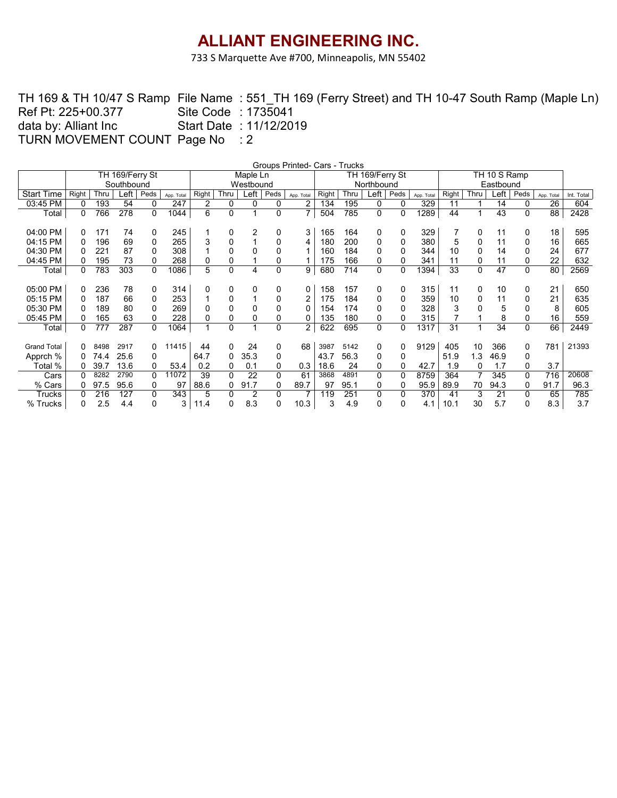733 S Marquette Ave #700, Minneapolis, MN 55402

TH 169 & TH 10/47 S Ramp File Name:551\_TH 169 (Ferry Street) and TH 10-47 South Ramp (Maple Ln) Site Code : 1735041 Start Date : 11/12/2019 TURN MOVEMENT COUNT Page No : 2 Ref Pt: 225+00.377 data by: Alliant Inc

|                    | Groups Printed- Cars - Trucks<br>TH 10 S Ramp |      |                 |             |            |                |              |           |          |                |       |      |                 |          |            |       |      |      |             |            |            |
|--------------------|-----------------------------------------------|------|-----------------|-------------|------------|----------------|--------------|-----------|----------|----------------|-------|------|-----------------|----------|------------|-------|------|------|-------------|------------|------------|
|                    |                                               |      | TH 169/Ferry St |             |            |                |              | Maple Ln  |          |                |       |      | TH 169/Ferry St |          |            |       |      |      |             |            |            |
|                    |                                               |      | Southbound      |             |            |                |              | Westbound |          |                |       |      | Northbound      |          |            |       |      |      |             |            |            |
| <b>Start Time</b>  | Right                                         | Thru | Left            | Peds        | App. Total | Right          | Thru         | Left      | Peds     | App. Total     | Right | Thru | Left            | Peds     | App. Total | Right | Thru | Left | Peds        | App. Total | Int. Total |
| 03:45 PM           | 0                                             | 193  | 54              | $\mathbf 0$ | 247        | $\overline{2}$ | 0            | 0         | 0        | 2              | 134   | 195  | 0               | 0        | 329        | 11    |      | 14   | 0           | 26         | 604        |
| Total              | 0                                             | 766  | 278             | 0           | 1044       | 6              | $\mathbf{0}$ |           | 0        | $\overline{7}$ | 504   | 785  | 0               | 0        | 1289       | 44    |      | 43   | $\Omega$    | 88         | 2428       |
|                    |                                               |      |                 |             |            |                |              |           |          |                |       |      |                 |          |            |       |      |      |             |            |            |
| 04:00 PM           | 0                                             | 171  | 74              | $\Omega$    | 245        |                | 0            | 2         | 0        | 3              | 165   | 164  | 0               | 0        | 329        |       | 0    | 11   | 0           | 18         | 595        |
| 04:15 PM           | 0                                             | 196  | 69              | $\Omega$    | 265        | 3              | 0            |           | 0        | 4              | 180   | 200  | 0               | 0        | 380        | 5     | 0    | 11   | 0           | 16         | 665        |
| 04:30 PM           | 0                                             | 221  | 87              | 0           | 308        |                | 0            |           | 0        |                | 160   | 184  | 0               | 0        | 344        | 10    | 0    | 14   | 0           | 24         | 677        |
| 04:45 PM           | 0                                             | 195  | 73              | 0           | 268        | 0              | 0            |           | 0        |                | 175   | 166  | 0               | 0        | 341        | 11    | 0    | 11   | 0           | 22         | 632        |
| Total              | 0                                             | 783  | 303             | 0           | 1086       | 5              | 0            | 4         | $\Omega$ | 9              | 680   | 714  | 0               | 0        | 1394       | 33    | 0    | 47   | 0           | 80         | 2569       |
|                    |                                               |      |                 |             |            |                |              |           |          |                |       |      |                 |          |            |       |      |      |             |            |            |
| 05:00 PM           | $\Omega$                                      | 236  | 78              | 0           | 314        | 0              | 0            | 0         | 0        | 0              | 158   | 157  | 0               | 0        | 315        | 11    | 0    | 10   | 0           | 21         | 650        |
| 05:15 PM           | 0                                             | 187  | 66              | 0           | 253        |                | 0            |           | 0        | 2              | 175   | 184  | 0               | 0        | 359        | 10    | 0    | 11   | 0           | 21         | 635        |
| 05:30 PM           | $\Omega$                                      | 189  | 80              | 0           | 269        | 0              | $\mathbf{0}$ | 0         | 0        | $\Omega$       | 154   | 174  | 0               | 0        | 328        | 3     | 0    | 5    | $\mathbf 0$ | 8          | 605        |
| 05:45 PM           | 0                                             | 165  | 63              | 0           | 228        | 0              | 0            | 0         | 0        | 0              | 135   | 180  | 0               | 0        | 315        |       |      | 8    | 0           | 16         | 559        |
| Total              | 0                                             | 777  | 287             | 0           | 1064       | 1              | $\Omega$     |           | 0        | 2              | 622   | 695  | 0               | 0        | 1317       | 31    | 1    | 34   | 0           | 66         | 2449       |
|                    |                                               |      |                 |             |            |                |              |           |          |                |       |      |                 |          |            |       |      |      |             |            |            |
| <b>Grand Total</b> | 0                                             | 8498 | 2917            | 0           | 11415      | 44             | 0            | 24        | 0        | 68             | 3987  | 5142 | 0               | 0        | 9129       | 405   | 10   | 366  | 0           | 781        | 21393      |
| Apprch %           | 0                                             | 74.4 | 25.6            | 0           |            | 64.7           | 0            | 35.3      | 0        |                | 43.7  | 56.3 | 0               | 0        |            | 51.9  | 1.3  | 46.9 | 0           |            |            |
| Total %            | 0                                             | 39.7 | 13.6            | 0           | 53.4       | 0.2            | 0            | 0.1       | 0        | 0.3            | 18.6  | 24   | 0               | 0        | 42.7       | 1.9   | 0    | 1.7  | 0           | 3.7        |            |
| Cars               | 0                                             | 8282 | 2790            | 0           | 11072      | 39             | $\Omega$     | 22        | $\Omega$ | 61             | 3868  | 4891 | 0               | $\Omega$ | 8759       | 364   | 7    | 345  | $\Omega$    | 716        | 20608      |
| % Cars             |                                               | 97.5 | 95.6            | 0           | 97         | 88.6           | 0            | 91.7      | 0        | 89.7           | 97    | 95.1 | 0               | 0        | 95.9       | 89.9  | 70   | 94.3 | 0           | 91.7       | 96.3       |
| Trucks             | 0                                             | 216  | 127             | 0           | 343        | 5              | 0            | 2         | 0        |                | 119   | 251  | 0               | 0        | 370        | 41    | 3    | 21   | 0           | 65         | 785        |
| % Trucks           | 0                                             | 2.5  | 4.4             | 0           | 3          | 11.4           |              | 8.3       | 0        | 10.3           | 3     | 4.9  | 0               | 0        | 4.1        | 10.1  | 30   | 5.7  | 0           | 8.3        | 3.7        |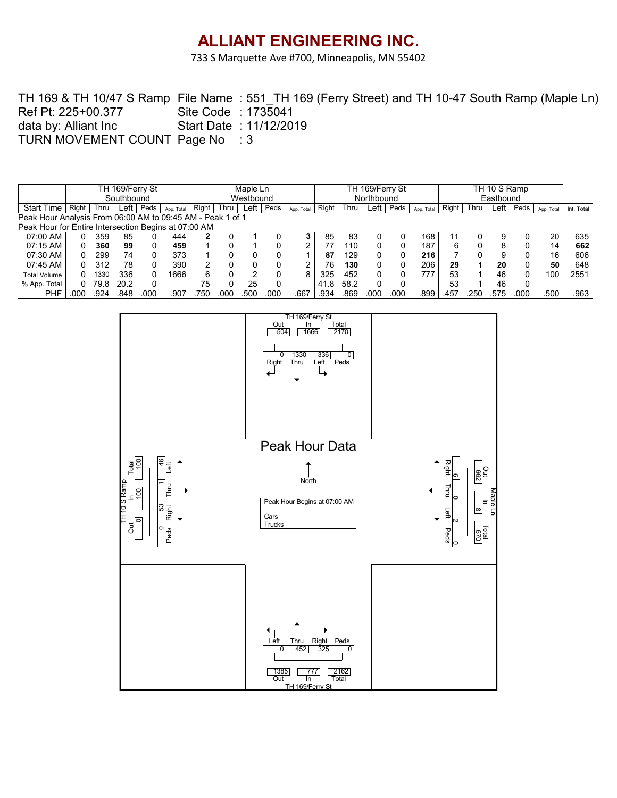733 S Marquette Ave #700, Minneapolis, MN 55402

TH 169 & TH 10/47 S Ramp File Name:551\_TH 169 (Ferry Street) and TH 10-47 South Ramp (Maple Ln) Site Code : 1735041 Start Date : 11/12/2019 TURN MOVEMENT COUNT Page No : 3 Ref Pt: 225+00.377 data by: Alliant Inc

|                                                            |            |      | TH 169/Ferry St |      |            | Maple Ln  |      |      |      |            |       |      | TH 169/Ferry St |      |            |       |      |      |      |            |            |
|------------------------------------------------------------|------------|------|-----------------|------|------------|-----------|------|------|------|------------|-------|------|-----------------|------|------------|-------|------|------|------|------------|------------|
|                                                            |            |      | Southbound      |      |            | Westbound |      |      |      |            |       |      | Northbound      |      |            |       |      |      |      |            |            |
| <b>Start Time</b>                                          | Right      | Thru | ∟eft '          | Peds | App. Total | Right     | Thru | Left | Peds | App. Total | Right | Thru | Left l          | Peds | App. Total | Right | Thru | Left | Peds | App. Total | Int. Total |
| Peak Hour Analysis From 06:00 AM to 09:45 AM - Peak 1 of 1 |            |      |                 |      |            |           |      |      |      |            |       |      |                 |      |            |       |      |      |      |            |            |
| Peak Hour for Entire Intersection Begins at 07:00 AM       |            |      |                 |      |            |           |      |      |      |            |       |      |                 |      |            |       |      |      |      |            |            |
| 07:00 AM                                                   |            | 359  | 85              |      | 444        |           |      |      |      | 3          | 85    | 83   |                 |      | 168        |       |      |      |      | 20         | 635        |
| 07:15 AM                                                   | $\Omega$   | 360  | 99              |      | 459        |           |      |      |      |            |       | 110  |                 |      | 187        |       |      | 8    | 0    | 14         | 662        |
| 07:30 AM                                                   |            | 299  | 74              |      | 373        |           |      |      |      |            | 87    | 129  |                 |      | 216        |       |      |      | 0    | 16         | 606        |
| 07:45 AM                                                   |            | 312  | 78              |      | 390        |           |      |      |      |            | 76    | 130  |                 |      | 206        | 29    |      | 20   | 0    | 50         | 648        |
| <b>Total Volume</b>                                        | $^{\circ}$ | 1330 | 336             |      | 1666       | 6         |      |      |      | 8          | 325   | 452  |                 |      |            | 53    |      | 46   | 0    | 100        | 2551       |
| % App. Total                                               |            | 79.8 | 20.2            |      |            | 75        |      | 25   |      |            | 41.8  | 58.2 |                 |      |            | 53    |      | 46   | 0    |            |            |
| PHF                                                        | 00C        | 924  | .848            | 000. | .907       | 75C       | 00C  | .500 | 000  | .667       | .934  | .869 | .000            | 000  | .899       | .457  | 250  | 575  | 000  | .500       | .963       |

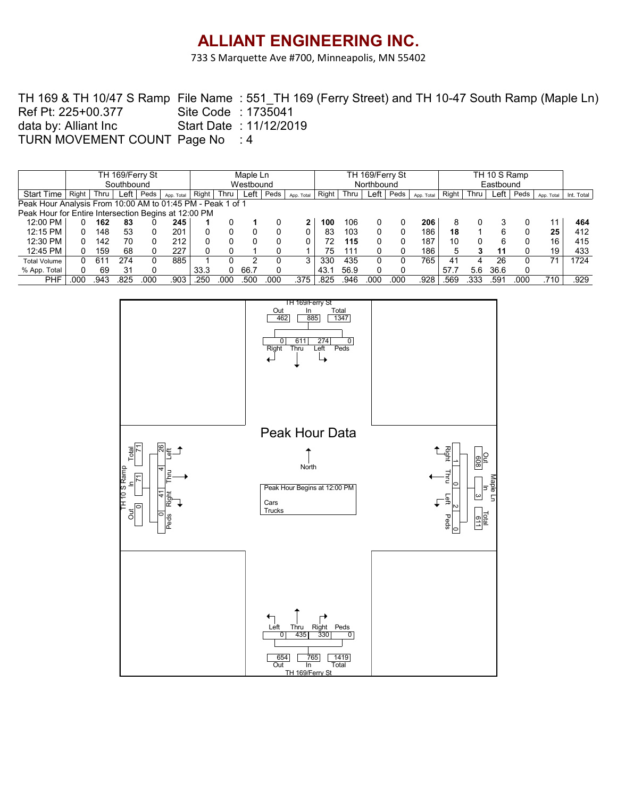733 S Marquette Ave #700, Minneapolis, MN 55402

TH 169 & TH 10/47 S Ramp File Name:551\_TH 169 (Ferry Street) and TH 10-47 South Ramp (Maple Ln) Site Code : 1735041 Start Date : 11/12/2019 TURN MOVEMENT COUNT Page No : 4 Ref Pt: 225+00.377 data by: Alliant Inc

|                                                            |       |      | TH 169/Ferry St |      |            | Maple Ln  |             |      |      |            | TH 169/Ferry St |      |      |      |            |       | TH 10 S Ramp |      |          |            |            |  |
|------------------------------------------------------------|-------|------|-----------------|------|------------|-----------|-------------|------|------|------------|-----------------|------|------|------|------------|-------|--------------|------|----------|------------|------------|--|
|                                                            |       |      | Southbound      |      |            | Westbound |             |      |      |            | Northbound      |      |      |      |            |       | Eastbound    |      |          |            |            |  |
| <b>Start Time</b>                                          | Right | Thru | Left            | Peds | App. Total | Right     | <b>Thru</b> | Left | Peds | App. Total | Right           | Thru | Left | Peds | App. Total | Right | Thru         | Left | Peds     | App. Total | Int. Total |  |
| Peak Hour Analysis From 10:00 AM to 01:45 PM - Peak 1 of 1 |       |      |                 |      |            |           |             |      |      |            |                 |      |      |      |            |       |              |      |          |            |            |  |
| Peak Hour for Entire Intersection Begins at 12:00 PM       |       |      |                 |      |            |           |             |      |      |            |                 |      |      |      |            |       |              |      |          |            |            |  |
| 12:00 PM                                                   |       | 162  | 83              |      | 245        |           |             |      |      |            | 100             | 106  |      |      | 206        |       |              |      |          | 11         | 464        |  |
| 12:15 PM                                                   |       | 148  | 53              |      | 201        |           |             |      |      |            | 83              | 103  |      |      | 186        | 18    |              |      |          | 25         | 412        |  |
| 12:30 PM                                                   |       | 142  | 70              |      | 212        |           |             |      |      |            | 72              | 115  |      |      | 187        | 10    |              |      | 0        | 16         | 415        |  |
| 12:45 PM                                                   |       | 159  | 68              |      | 227        |           |             |      |      |            | 75              | 111  |      |      | 186        |       |              | 11   | $\Omega$ | 19         | 433        |  |
| <b>Total Volume</b>                                        |       | 611  | 274             |      | 885        |           |             |      |      |            | 330             | 435  |      |      | 765        | 41    | 4            | 26   |          | 71         | 1724       |  |
| % App. Total                                               |       | 69   | 31              |      |            | 33.3      |             | 66.7 |      |            | 43.1            | 56.9 |      |      |            | 57.7  | 5.6          | 36.6 | 0        |            |            |  |
| PHF                                                        | 000   | .943 | 825             | 00C  | .903       | 250       | 00C         | .500 | 000  | .375       | .825            | 946  | .000 | 000  | 928        | .569  | 333          | .591 | 000      | .710       | .929       |  |